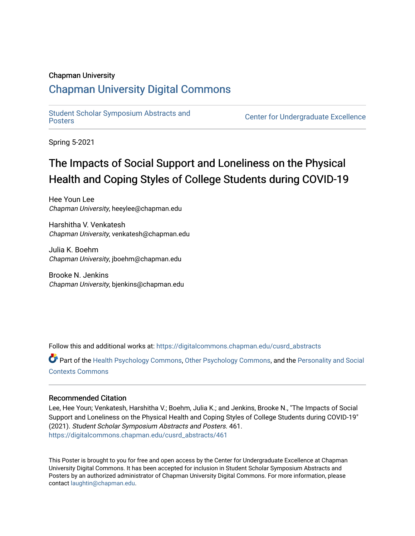#### Chapman University

## [Chapman University Digital Commons](https://digitalcommons.chapman.edu/)

[Student Scholar Symposium Abstracts and](https://digitalcommons.chapman.edu/cusrd_abstracts) 

**Center for Undergraduate Excellence** 

Spring 5-2021

# The Impacts of Social Support and Loneliness on the Physical Health and Coping Styles of College Students during COVID-19

Hee Youn Lee Chapman University, heeylee@chapman.edu

Harshitha V. Venkatesh Chapman University, venkatesh@chapman.edu

Julia K. Boehm Chapman University, jboehm@chapman.edu

Brooke N. Jenkins Chapman University, bjenkins@chapman.edu

Follow this and additional works at: [https://digitalcommons.chapman.edu/cusrd\\_abstracts](https://digitalcommons.chapman.edu/cusrd_abstracts?utm_source=digitalcommons.chapman.edu%2Fcusrd_abstracts%2F461&utm_medium=PDF&utm_campaign=PDFCoverPages) 

Part of the [Health Psychology Commons](http://network.bepress.com/hgg/discipline/411?utm_source=digitalcommons.chapman.edu%2Fcusrd_abstracts%2F461&utm_medium=PDF&utm_campaign=PDFCoverPages), [Other Psychology Commons](http://network.bepress.com/hgg/discipline/415?utm_source=digitalcommons.chapman.edu%2Fcusrd_abstracts%2F461&utm_medium=PDF&utm_campaign=PDFCoverPages), and the [Personality and Social](http://network.bepress.com/hgg/discipline/413?utm_source=digitalcommons.chapman.edu%2Fcusrd_abstracts%2F461&utm_medium=PDF&utm_campaign=PDFCoverPages)  [Contexts Commons](http://network.bepress.com/hgg/discipline/413?utm_source=digitalcommons.chapman.edu%2Fcusrd_abstracts%2F461&utm_medium=PDF&utm_campaign=PDFCoverPages)

#### Recommended Citation

Lee, Hee Youn; Venkatesh, Harshitha V.; Boehm, Julia K.; and Jenkins, Brooke N., "The Impacts of Social Support and Loneliness on the Physical Health and Coping Styles of College Students during COVID-19" (2021). Student Scholar Symposium Abstracts and Posters. 461. [https://digitalcommons.chapman.edu/cusrd\\_abstracts/461](https://digitalcommons.chapman.edu/cusrd_abstracts/461?utm_source=digitalcommons.chapman.edu%2Fcusrd_abstracts%2F461&utm_medium=PDF&utm_campaign=PDFCoverPages) 

This Poster is brought to you for free and open access by the Center for Undergraduate Excellence at Chapman University Digital Commons. It has been accepted for inclusion in Student Scholar Symposium Abstracts and Posters by an authorized administrator of Chapman University Digital Commons. For more information, please contact [laughtin@chapman.edu](mailto:laughtin@chapman.edu).